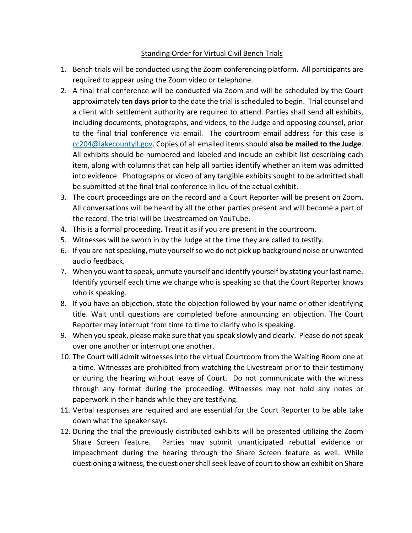## Standing Order for Virtual Civil Bench Trials

- 1. Bench trials will be conducted using the Zoom conferencing platform. All participants are required to appear using the Zoom video or telephone.
- 2. A final trial conference will be conducted via Zoom and will be scheduled by the Court approximately **ten days prior** to the date the trial is scheduled to begin. Trial counsel and a client with settlement authority are required to attend. Parties shall send all exhibits, including documents, photographs, and videos, to the Judge and opposing counsel, prior to the final trial conference via email. The courtroom email address for this case is [cc204@lakecountyil.gov.](mailto:cc204@lakecountyil.gov) Copies of all emailed items should **also be mailed to the Judge**. All exhibits should be numbered and labeled and include an exhibit list describing each item, along with columns that can help all parties identify whether an item was admitted into evidence. Photographs or video of any tangible exhibits sought to be admitted shall be submitted at the final trial conference in lieu of the actual exhibit.
- 3. The court proceedings are on the record and a Court Reporter will be present on Zoom. All conversations will be heard by all the other parties present and will become a part of the record. The trial will be Livestreamed on YouTube.
- 4. This is a formal proceeding. Treat it as if you are present in the courtroom.
- 5. Witnesses will be sworn in by the Judge at the time they are called to testify.
- 6. If you are not speaking, mute yourself so we do not pick up background noise or unwanted audio feedback.
- 7. When you want to speak, unmute yourself and identify yourself by stating your last name. Identify yourself each time we change who is speaking so that the Court Reporter knows who is speaking.
- 8. If you have an objection, state the objection followed by your name or other identifying title. Wait until questions are completed before announcing an objection. The Court Reporter may interrupt from time to time to clarify who is speaking.
- 9. When you speak, please make sure that you speak slowly and clearly. Please do not speak over one another or interrupt one another.
- 10. The Court will admit witnesses into the virtual Courtroom from the Waiting Room one at a time. Witnesses are prohibited from watching the Livestream prior to their testimony or during the hearing without leave of Court. Do not communicate with the witness through any format during the proceeding. Witnesses may not hold any notes or paperwork in their hands while they are testifying.
- 11. Verbal responses are required and are essential for the Court Reporter to be able take down what the speaker says.
- 12. During the trial the previously distributed exhibits will be presented utilizing the Zoom Share Screen feature. Parties may submit unanticipated rebuttal evidence or impeachment during the hearing through the Share Screen feature as well. While questioning a witness, the questioner shall seek leave of court to show an exhibit on Share